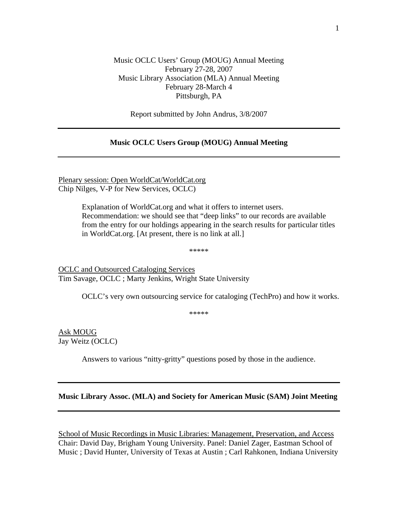## Music OCLC Users' Group (MOUG) Annual Meeting February 27-28, 2007 Music Library Association (MLA) Annual Meeting February 28-March 4 Pittsburgh, PA

Report submitted by John Andrus, 3/8/2007

## **Music OCLC Users Group (MOUG) Annual Meeting**

Plenary session: Open WorldCat/WorldCat.org Chip Nilges, V-P for New Services, OCLC)

> Explanation of WorldCat.org and what it offers to internet users. Recommendation: we should see that "deep links" to our records are available from the entry for our holdings appearing in the search results for particular titles in WorldCat.org. [At present, there is no link at all.]

> > \*\*\*\*\*

OCLC and Outsourced Cataloging Services Tim Savage, OCLC ; Marty Jenkins, Wright State University

OCLC's very own outsourcing service for cataloging (TechPro) and how it works.

\*\*\*\*\*

Ask MOUG Jay Weitz (OCLC)

Answers to various "nitty-gritty" questions posed by those in the audience.

## **Music Library Assoc. (MLA) and Society for American Music (SAM) Joint Meeting**

School of Music Recordings in Music Libraries: Management, Preservation, and Access Chair: David Day, Brigham Young University. Panel: Daniel Zager, Eastman School of Music ; David Hunter, University of Texas at Austin ; Carl Rahkonen, Indiana University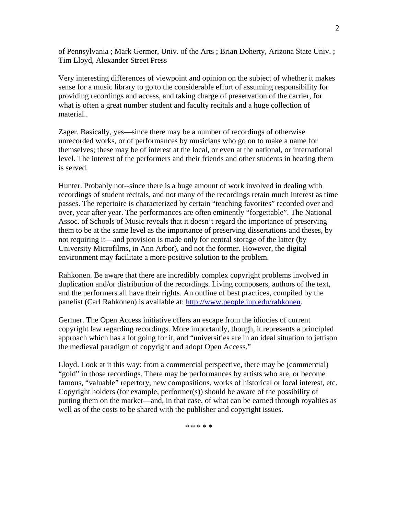of Pennsylvania ; Mark Germer, Univ. of the Arts ; Brian Doherty, Arizona State Univ. ; Tim Lloyd, Alexander Street Press

Very interesting differences of viewpoint and opinion on the subject of whether it makes sense for a music library to go to the considerable effort of assuming responsibility for providing recordings and access, and taking charge of preservation of the carrier, for what is often a great number student and faculty recitals and a huge collection of material..

Zager. Basically, yes—since there may be a number of recordings of otherwise unrecorded works, or of performances by musicians who go on to make a name for themselves; these may be of interest at the local, or even at the national, or international level. The interest of the performers and their friends and other students in hearing them is served.

Hunter. Probably not--since there is a huge amount of work involved in dealing with recordings of student recitals, and not many of the recordings retain much interest as time passes. The repertoire is characterized by certain "teaching favorites" recorded over and over, year after year. The performances are often eminently "forgettable". The National Assoc. of Schools of Music reveals that it doesn't regard the importance of preserving them to be at the same level as the importance of preserving dissertations and theses, by not requiring it—and provision is made only for central storage of the latter (by University Microfilms, in Ann Arbor), and not the former. However, the digital environment may facilitate a more positive solution to the problem.

Rahkonen. Be aware that there are incredibly complex copyright problems involved in duplication and/or distribution of the recordings. Living composers, authors of the text, and the performers all have their rights. An outline of best practices, compiled by the panelist (Carl Rahkonen) is available at: http://www.people.iup.edu/rahkonen.

Germer. The Open Access initiative offers an escape from the idiocies of current copyright law regarding recordings. More importantly, though, it represents a principled approach which has a lot going for it, and "universities are in an ideal situation to jettison the medieval paradigm of copyright and adopt Open Access."

Lloyd. Look at it this way: from a commercial perspective, there may be (commercial) "gold" in those recordings. There may be performances by artists who are, or become famous, "valuable" repertory, new compositions, works of historical or local interest, etc. Copyright holders (for example, performer(s)) should be aware of the possibility of putting them on the market—and, in that case, of what can be earned through royalties as well as of the costs to be shared with the publisher and copyright issues.

\* \* \* \* \*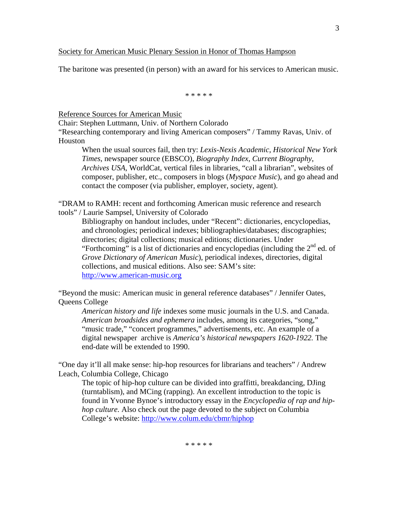## Society for American Music Plenary Session in Honor of Thomas Hampson

The baritone was presented (in person) with an award for his services to American music.

\* \* \* \* \*

Reference Sources for American Music

Chair: Stephen Luttmann, Univ. of Northern Colorado

"Researching contemporary and living American composers" / Tammy Ravas, Univ. of Houston

When the usual sources fail, then try: *Lexis-Nexis Academic*, *Historical New York Times*, newspaper source (EBSCO), *Biography Index*, *Current Biography*, *Archives USA*, WorldCat, vertical files in libraries, "call a librarian", websites of composer, publisher, etc., composers in blogs (*Myspace Music*), and go ahead and contact the composer (via publisher, employer, society, agent).

"DRAM to RAMH: recent and forthcoming American music reference and research tools" / Laurie Sampsel, University of Colorado

Bibliography on handout includes, under "Recent": dictionaries, encyclopedias, and chronologies; periodical indexes; bibliographies/databases; discographies; directories; digital collections; musical editions; dictionaries. Under "Forthcoming" is a list of dictionaries and encyclopedias (including the  $2<sup>nd</sup>$  ed. of *Grove Dictionary of American Music*), periodical indexes, directories, digital collections, and musical editions. Also see: SAM's site: http://www.american-music.org

"Beyond the music: American music in general reference databases" / Jennifer Oates, Queens College

*American history and life* indexes some music journals in the U.S. and Canada. *American broadsides and ephemera* includes, among its categories, "song," "music trade," "concert programmes," advertisements, etc. An example of a digital newspaper archive is *America's historical newspapers 1620-1922.* The end-date will be extended to 1990.

"One day it'll all make sense: hip-hop resources for librarians and teachers" / Andrew Leach, Columbia College, Chicago

The topic of hip-hop culture can be divided into graffitti, breakdancing, DJing (turntablism), and MCing (rapping). An excellent introduction to the topic is found in Yvonne Bynoe's introductory essay in the *Encyclopedia of rap and hiphop culture.* Also check out the page devoted to the subject on Columbia College's website: http://www.colum.edu/cbmr/hiphop

\* \* \* \* \*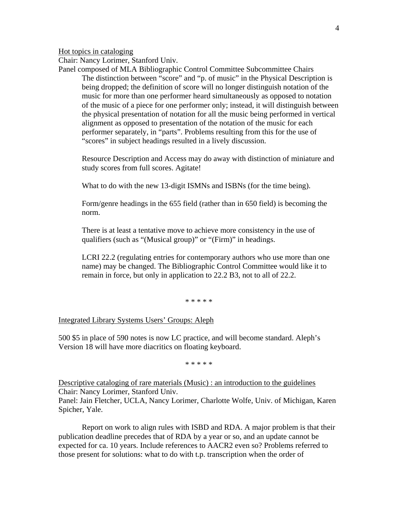Hot topics in cataloging

Chair: Nancy Lorimer, Stanford Univ.

Panel composed of MLA Bibliographic Control Committee Subcommittee Chairs The distinction between "score" and "p. of music" in the Physical Description is being dropped; the definition of score will no longer distinguish notation of the music for more than one performer heard simultaneously as opposed to notation of the music of a piece for one performer only; instead, it will distinguish between the physical presentation of notation for all the music being performed in vertical alignment as opposed to presentation of the notation of the music for each performer separately, in "parts". Problems resulting from this for the use of "scores" in subject headings resulted in a lively discussion.

Resource Description and Access may do away with distinction of miniature and study scores from full scores. Agitate!

What to do with the new 13-digit ISMNs and ISBNs (for the time being).

Form/genre headings in the 655 field (rather than in 650 field) is becoming the norm.

There is at least a tentative move to achieve more consistency in the use of qualifiers (such as "(Musical group)" or "(Firm)" in headings.

LCRI 22.2 (regulating entries for contemporary authors who use more than one name) may be changed. The Bibliographic Control Committee would like it to remain in force, but only in application to 22.2 B3, not to all of 22.2.

\* \* \* \* \*

Integrated Library Systems Users' Groups: Aleph

500 \$5 in place of 590 notes is now LC practice, and will become standard. Aleph's Version 18 will have more diacritics on floating keyboard.

\* \* \* \* \*

Descriptive cataloging of rare materials (Music) : an introduction to the guidelines Chair: Nancy Lorimer, Stanford Univ. Panel: Jain Fletcher, UCLA, Nancy Lorimer, Charlotte Wolfe, Univ. of Michigan, Karen Spicher, Yale.

 Report on work to align rules with ISBD and RDA. A major problem is that their publication deadline precedes that of RDA by a year or so, and an update cannot be expected for ca. 10 years. Include references to AACR2 even so? Problems referred to those present for solutions: what to do with t.p. transcription when the order of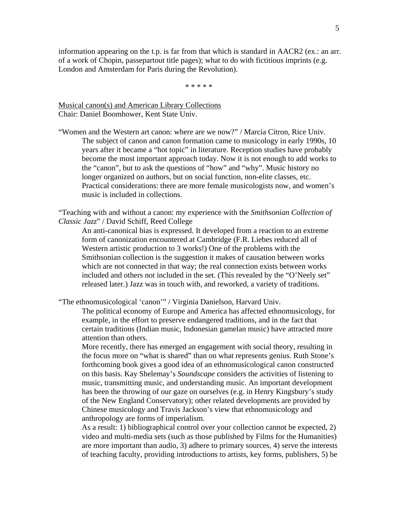information appearing on the t.p. is far from that which is standard in AACR2 (ex.: an arr. of a work of Chopin, passepartout title pages); what to do with fictitious imprints (e.g. London and Amsterdam for Paris during the Revolution).

\* \* \* \* \*

Musical canon(s) and American Library Collections Chair: Daniel Boomhower, Kent State Univ.

"Women and the Western art canon: where are we now?" / Marcia Citron, Rice Univ. The subject of canon and canon formation came to musicology in early 1990s, 10 years after it became a "hot topic" in literature. Reception studies have probably become the most important approach today. Now it is not enough to add works to the "canon", but to ask the questions of "how" and "why". Music history no longer organized on authors, but on social function, non-elite classes, etc. Practical considerations: there are more female musicologists now, and women's music is included in collections.

"Teaching with and without a canon: my experience with the *Smithsonian Collection of Classic Jazz*" / David Schiff, Reed College

An anti-canonical bias is expressed. It developed from a reaction to an extreme form of canonization encountered at Cambridge (F.R. Liebes reduced all of Western artistic production to 3 works!) One of the problems with the Smithsonian collection is the suggestion it makes of causation between works which are not connected in that way; the real connection exists between works included and others not included in the set. (This revealed by the "O'Neely set" released later.) Jazz was in touch with, and reworked, a variety of traditions.

"The ethnomusicological 'canon'" / Virginia Danielson, Harvard Univ.

The political economy of Europe and America has affected ethnomusicology, for example, in the effort to preserve endangered traditions, and in the fact that certain traditions (Indian music, Indonesian gamelan music) have attracted more attention than others.

More recently, there has emerged an engagement with social theory, resulting in the focus more on "what is shared" than on what represents genius. Ruth Stone's forthcoming book gives a good idea of an ethnomusicological canon constructed on this basis. Kay Shelemay's *Soundscape* considers the activities of listening to music, transmitting music, and understanding music. An important development has been the throwing of our gaze on ourselves (e.g. in Henry Kingsbury's study of the New England Conservatory); other related developments are provided by Chinese musicology and Travis Jackson's view that ethnomusicology and anthropology are forms of imperialism.

As a result: 1) bibliographical control over your collection cannot be expected, 2) video and multi-media sets (such as those published by Films for the Humanities) are more important than audio, 3) adhere to primary sources, 4) serve the interests of teaching faculty, providing introductions to artists, key forms, publishers, 5) be